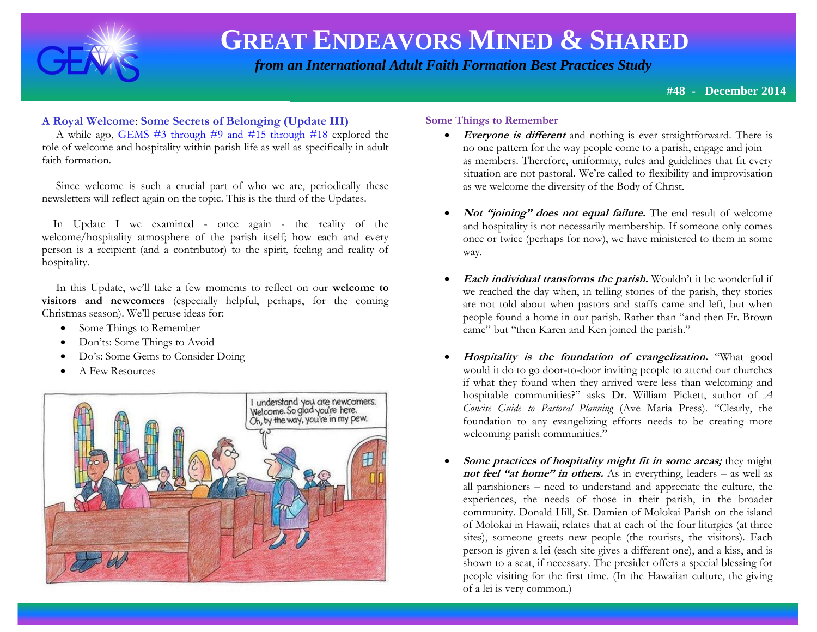

 *from an International Adult Faith Formation Best Practices Study*

**#48 - December 2014**

### **A Royal Welcome**: **Some Secrets of Belonging (Update III)**

 A while ago, [GEMS #3 through #9 and #15 through #18](http://www.janetschaeffler.com/Best-Practices.html) explored the role of welcome and hospitality within parish life as well as specifically in adult faith formation.

 Since welcome is such a crucial part of who we are, periodically these newsletters will reflect again on the topic. This is the third of the Updates.

 In Update I we examined - once again - the reality of the welcome/hospitality atmosphere of the parish itself; how each and every person is a recipient (and a contributor) to the spirit, feeling and reality of hospitality.

 In this Update, we'll take a few moments to reflect on our **welcome to visitors and newcomers** (especially helpful, perhaps, for the coming Christmas season). We'll peruse ideas for:

- Some Things to Remember
- Don'ts: Some Things to Avoid
- Do's: Some Gems to Consider Doing
- A Few Resources



#### **Some Things to Remember**

- **Everyone is different** and nothing is ever straightforward. There is no one pattern for the way people come to a parish, engage and join as members. Therefore, uniformity, rules and guidelines that fit every situation are not pastoral. We're called to flexibility and improvisation as we welcome the diversity of the Body of Christ.
- **Not "joining" does not equal failure.** The end result of welcome and hospitality is not necessarily membership. If someone only comes once or twice (perhaps for now), we have ministered to them in some way.
- **Each individual transforms the parish.** Wouldn't it be wonderful if we reached the day when, in telling stories of the parish, they stories are not told about when pastors and staffs came and left, but when people found a home in our parish. Rather than "and then Fr. Brown came" but "then Karen and Ken joined the parish."
- **Hospitality is the foundation of evangelization.** "What good would it do to go door-to-door inviting people to attend our churches if what they found when they arrived were less than welcoming and hospitable communities?" asks Dr. William Pickett, author of *A Concise Guide to Pastoral Planning* (Ave Maria Press)*.* "Clearly, the foundation to any evangelizing efforts needs to be creating more welcoming parish communities."
- **Some practices of hospitality might fit in some areas;** they might **not feel "at home" in others.** As in everything, leaders – as well as all parishioners – need to understand and appreciate the culture, the experiences, the needs of those in their parish, in the broader community. Donald Hill, St. Damien of Molokai Parish on the island of Molokai in Hawaii, relates that at each of the four liturgies (at three sites), someone greets new people (the tourists, the visitors). Each person is given a lei (each site gives a different one), and a kiss, and is shown to a seat, if necessary. The presider offers a special blessing for people visiting for the first time. (In the Hawaiian culture, the giving of a lei is very common.)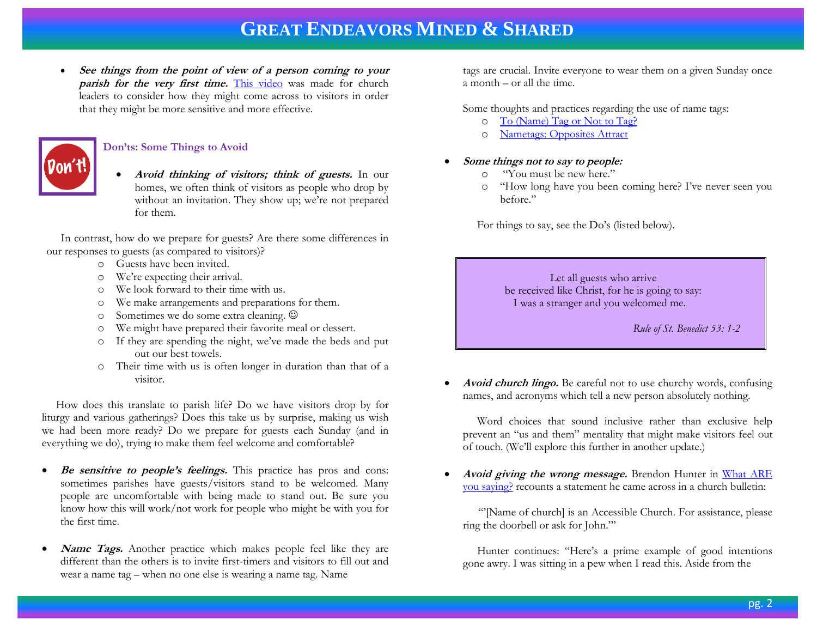**See things from the point of view of a person coming to your**  parish for the very first time. [This video](https://www.youtube.com/watch?v=D7_dZTrjw9I) was made for church leaders to consider how they might come across to visitors in order that they might be more sensitive and more effective.



#### **Don'ts: Some Things to Avoid**

 **Avoid thinking of visitors; think of guests.** In our homes, we often think of visitors as people who drop by without an invitation. They show up; we're not prepared for them.

 In contrast, how do we prepare for guests? Are there some differences in our responses to guests (as compared to visitors)?

- o Guests have been invited.
- o We're expecting their arrival.
- o We look forward to their time with us.
- o We make arrangements and preparations for them.
- o Sometimes we do some extra cleaning.
- o We might have prepared their favorite meal or dessert.
- o If they are spending the night, we've made the beds and put out our best towels.
- o Their time with us is often longer in duration than that of a visitor.

 How does this translate to parish life? Do we have visitors drop by for liturgy and various gatherings? Does this take us by surprise, making us wish we had been more ready? Do we prepare for guests each Sunday (and in everything we do), trying to make them feel welcome and comfortable?

- **Be sensitive to people's feelings.** This practice has pros and cons: sometimes parishes have guests/visitors stand to be welcomed. Many people are uncomfortable with being made to stand out. Be sure you know how this will work/not work for people who might be with you for the first time.
- **Name Tags.** Another practice which makes people feel like they are different than the others is to invite first-timers and visitors to fill out and wear a name tag – when no one else is wearing a name tag. Name

tags are crucial. Invite everyone to wear them on a given Sunday once a month – or all the time.

Some thoughts and practices regarding the use of name tags:

- o [To \(Name\) Tag or Not to Tag?](http://www.ecfvp.org/posts/to-name-tag-or-not-to-tag-2/)
- o [Nametags: Opposites Attract](http://www.ecfvp.org/posts/nametags-opposites-attract/)

#### **Some things not to say to people:**

- o "You must be new here."
- o "How long have you been coming here? I've never seen you before."

For things to say, see the Do's (listed below).

 Let all guests who arrive be received like Christ, for he is going to say: I was a stranger and you welcomed me.

 *Rule of St. Benedict 53: 1-2*

 **Avoid church lingo.** Be careful not to use churchy words, confusing names, and acronyms which tell a new person absolutely nothing.

 Word choices that sound inclusive rather than exclusive help prevent an "us and them" mentality that might make visitors feel out of touch. (We'll explore this further in another update.)

Avoid giving the wrong message. Brendon Hunter in What ARE [you saying?](http://www.ecfvp.org/posts/what-are-you-saying/) recounts a statement he came across in a church bulletin:

"'[Name of church] is an Accessible Church. For assistance, please ring the doorbell or ask for John."'

 Hunter continues: "Here's a prime example of good intentions gone awry. I was sitting in a pew when I read this. Aside from the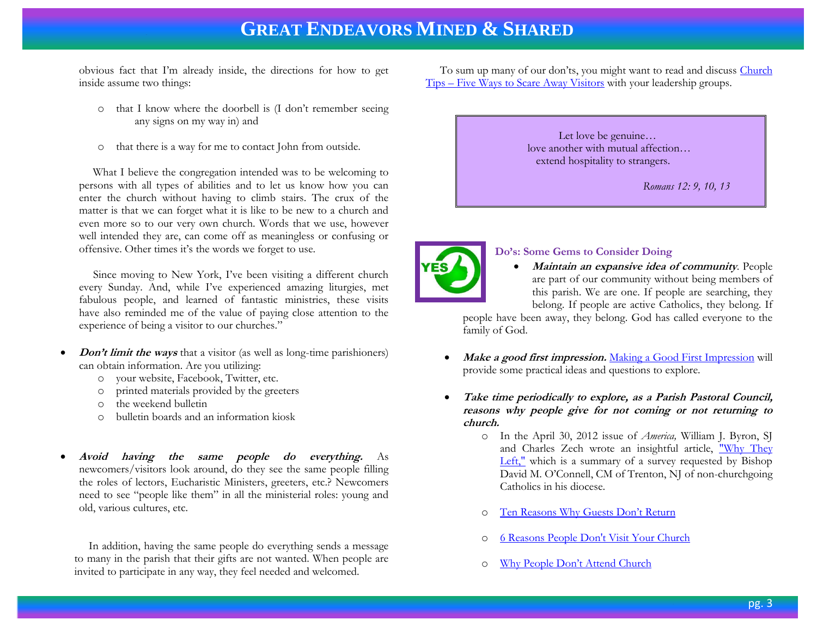obvious fact that I'm already inside, the directions for how to get inside assume two things:

- o that I know where the doorbell is (I don't remember seeing any signs on my way in) and
- o that there is a way for me to contact John from outside.

What I believe the congregation intended was to be welcoming to persons with all types of abilities and to let us know how you can enter the church without having to climb stairs. The crux of the matter is that we can forget what it is like to be new to a church and even more so to our very own church. Words that we use, however well intended they are, can come off as meaningless or confusing or offensive. Other times it's the words we forget to use.

 Since moving to New York, I've been visiting a different church every Sunday. And, while I've experienced amazing liturgies, met fabulous people, and learned of fantastic ministries, these visits have also reminded me of the value of paying close attention to the experience of being a visitor to our churches."

- *Don't limit the ways* that a visitor (as well as long-time parishioners) can obtain information. Are you utilizing:
	- o your website, Facebook, Twitter, etc.
	- printed materials provided by the greeters
	- o the weekend bulletin
	- o bulletin boards and an information kiosk
- **Avoid having the same people do everything.** As newcomers/visitors look around, do they see the same people filling the roles of lectors, Eucharistic Ministers, greeters, etc.? Newcomers need to see "people like them" in all the ministerial roles: young and old, various cultures, etc.

 In addition, having the same people do everything sends a message to many in the parish that their gifts are not wanted. When people are invited to participate in any way, they feel needed and welcomed.

To sum up many of our don'ts, you might want to read and discuss Church Tips – [Five Ways to Scare Away Visitors](http://www.buildfaith.org/2014/08/22/church-tips-five-ways-to-scare-away-visitors/) with your leadership groups.





### **Do's: Some Gems to Consider Doing**

 **Maintain an expansive idea of community**. People are part of our community without being members of this parish. We are one. If people are searching, they belong. If people are active Catholics, they belong. If

people have been away, they belong. God has called everyone to the family of God.

- **Make a good first impression.** [Making a Good First Impression](http://www.buildfaith.org/2011/04/11/making-a-good-first-impression/) will provide some practical ideas and questions to explore.
- **Take time periodically to explore, as a Parish Pastoral Council, reasons why people give for not coming or not returning to church.**
	- o In the April 30, 2012 issue of *America,* William J. Byron, SJ and Charles Zech wrote an insightful article, ["Why They](http://americamagazine.org/issue/5138/article/why-they-left)  [Left,"](http://americamagazine.org/issue/5138/article/why-they-left) which is a summary of a survey requested by Bishop David M. O'Connell, CM of Trenton, NJ of non-churchgoing Catholics in his diocese.
	- o [Ten Reasons Why Guests Don't Return](http://networkedblogs.com/KTmMb)
	- o [6 Reasons People Don't Visit Your Church](http://www.churchleaders.com/outreach-missions/outreach-missions-how-tos/148436-6-reasons-why-people-don-t-visit-your-church.html)
	- o [Why People Don't Attend Church](http://4given2serve.wordpress.com/2011/03/13/why-people-dont-attend-church/)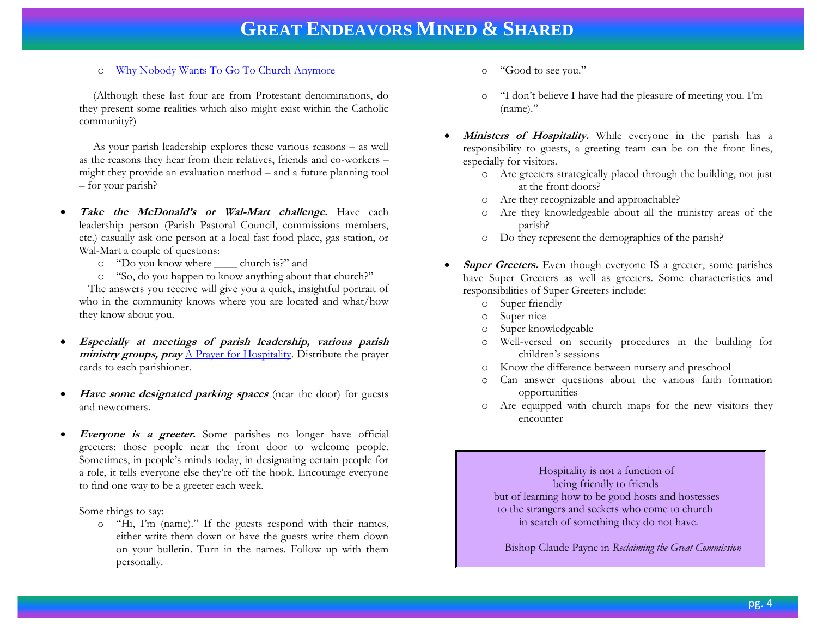#### o [Why Nobody Wants To Go To Church Anymore](http://www.group.com/why-nobody-wants-to-go-to-church-anymore)

 (Although these last four are from Protestant denominations, do they present some realities which also might exist within the Catholic community?)

 As your parish leadership explores these various reasons – as well as the reasons they hear from their relatives, friends and co-workers – might they provide an evaluation method – and a future planning tool – for your parish?

- **Take the McDonald's or Wal-Mart challenge.** Have each leadership person (Parish Pastoral Council, commissions members, etc.) casually ask one person at a local fast food place, gas station, or Wal-Mart a couple of questions:
	- o "Do you know where \_\_\_\_ church is?" and
	- o "So, do you happen to know anything about that church?" The answers you receive will give you a quick, insightful portrait of

who in the community knows where you are located and what/how they know about you.

- **Especially at meetings of parish leadership, various parish ministry groups, pray** [A Prayer for Hospitality.](http://www.usccbpublishing.org/productdetails.cfm?sku=5-460) Distribute the prayer cards to each parishioner.
- Have some designated parking spaces (near the door) for guests and newcomers.
- *Everyone is a greeter.* Some parishes no longer have official greeters: those people near the front door to welcome people. Sometimes, in people's minds today, in designating certain people for a role, it tells everyone else they're off the hook. Encourage everyone to find one way to be a greeter each week.

Some things to say:

o "Hi, I'm (name)." If the guests respond with their names, either write them down or have the guests write them down on your bulletin. Turn in the names. Follow up with them personally.

- o "Good to see you."
- o "I don't believe I have had the pleasure of meeting you. I'm (name)."
- **Ministers of Hospitality.** While everyone in the parish has a responsibility to guests, a greeting team can be on the front lines, especially for visitors.
	- o Are greeters strategically placed through the building, not just at the front doors?
	- o Are they recognizable and approachable?
	- o Are they knowledgeable about all the ministry areas of the parish?
	- o Do they represent the demographics of the parish?
- **Super Greeters.** Even though everyone IS a greeter, some parishes have Super Greeters as well as greeters. Some characteristics and responsibilities of Super Greeters include:
	- o Super friendly
	- o Super nice
	- o Super knowledgeable
	- o Well-versed on security procedures in the building for children's sessions
	- o Know the difference between nursery and preschool
	- o Can answer questions about the various faith formation opportunities
	- o Are equipped with church maps for the new visitors they encounter

 Hospitality is not a function of being friendly to friends but of learning how to be good hosts and hostesses to the strangers and seekers who come to church in search of something they do not have.

Bishop Claude Payne in *Reclaiming the Great Commission*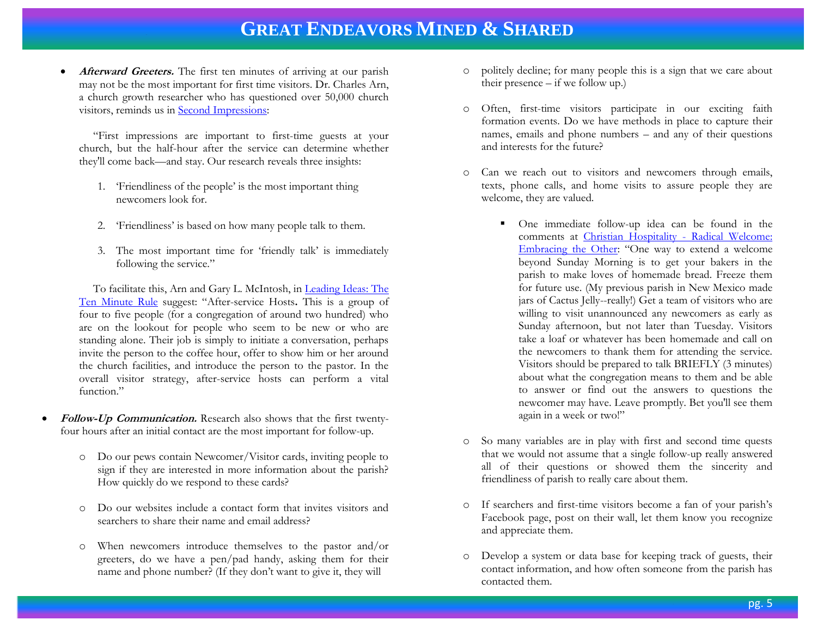• **Afterward Greeters.** The first ten minutes of arriving at our parish may not be the most important for first time visitors. Dr. Charles Arn, a church growth researcher who has questioned over 50,000 church visitors, reminds us in [Second Impressions:](http://www.buildingchurchleaders.com/articles/2002/le-2002-003-30.11.html)

 "First impressions are important to first-time guests at your church, but the half-hour after the service can determine whether they'll come back—and stay. Our research reveals three insights:

- 1. 'Friendliness of the people' is the most important thing newcomers look for.
- 2. 'Friendliness' is based on how many people talk to them.
- 3. The most important time for 'friendly talk' is immediately following the service."

 To facilitate this, Arn and Gary L. McIntosh, in [Leading Ideas: The](http://www.churchleadership.com/leadingideas/leaddocs/2013/130828_article2.html)  [Ten Minute Rule](http://www.churchleadership.com/leadingideas/leaddocs/2013/130828_article2.html) suggest: "After-service Hosts**.** This is a group of four to five people (for a congregation of around two hundred) who are on the lookout for people who seem to be new or who are standing alone. Their job is simply to initiate a conversation, perhaps invite the person to the coffee hour, offer to show him or her around the church facilities, and introduce the person to the pastor. In the overall visitor strategy, after-service hosts can perform a vital function."

- **Follow-Up Communication.** Research also shows that the first twentyfour hours after an initial contact are the most important for follow-up.
	- o Do our pews contain Newcomer/Visitor cards, inviting people to sign if they are interested in more information about the parish? How quickly do we respond to these cards?
	- o Do our websites include a contact form that invites visitors and searchers to share their name and email address?
	- o When newcomers introduce themselves to the pastor and/or greeters, do we have a pen/pad handy, asking them for their name and phone number? (If they don't want to give it, they will
- o politely decline; for many people this is a sign that we care about their presence – if we follow up.)
- o Often, first-time visitors participate in our exciting faith formation events. Do we have methods in place to capture their names, emails and phone numbers – and any of their questions and interests for the future?
- o Can we reach out to visitors and newcomers through emails, texts, phone calls, and home visits to assure people they are welcome, they are valued.
	- One immediate follow-up idea can be found in the comments at [Christian Hospitality -](http://www.ecfvp.org/vestrypapers/christian-hospitality-2/radical-welcome-embracing-the-other/) Radical Welcome: [Embracing the Other:](http://www.ecfvp.org/vestrypapers/christian-hospitality-2/radical-welcome-embracing-the-other/) "One way to extend a welcome beyond Sunday Morning is to get your bakers in the parish to make loves of homemade bread. Freeze them for future use. (My previous parish in New Mexico made jars of Cactus Jelly--really!) Get a team of visitors who are willing to visit unannounced any newcomers as early as Sunday afternoon, but not later than Tuesday. Visitors take a loaf or whatever has been homemade and call on the newcomers to thank them for attending the service. Visitors should be prepared to talk BRIEFLY (3 minutes) about what the congregation means to them and be able to answer or find out the answers to questions the newcomer may have. Leave promptly. Bet you'll see them again in a week or two!"
- o So many variables are in play with first and second time quests that we would not assume that a single follow-up really answered all of their questions or showed them the sincerity and friendliness of parish to really care about them.
- o If searchers and first-time visitors become a fan of your parish's Facebook page, post on their wall, let them know you recognize and appreciate them.
- o Develop a system or data base for keeping track of guests, their contact information, and how often someone from the parish has contacted them.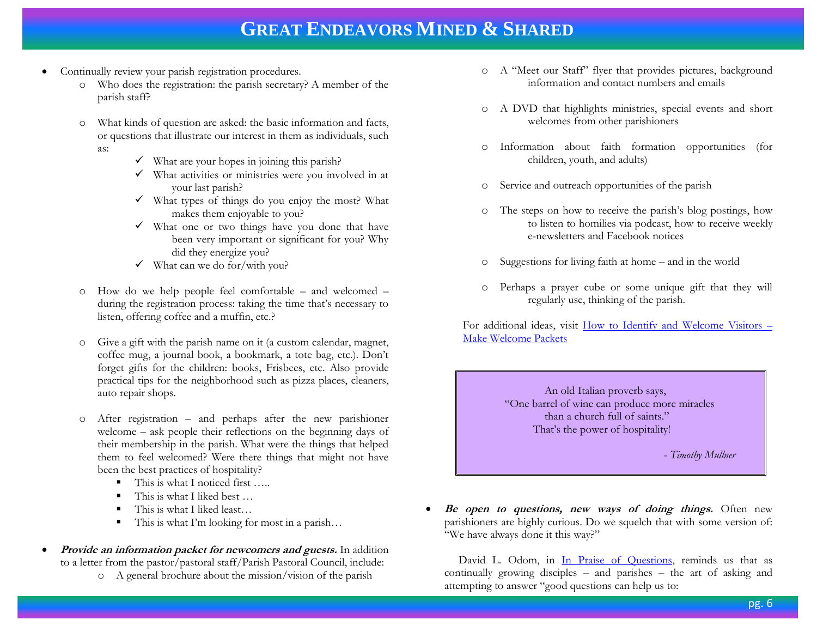- Continually review your parish registration procedures.
	- o Who does the registration: the parish secretary? A member of the parish staff?
	- o What kinds of question are asked: the basic information and facts, or questions that illustrate our interest in them as individuals, such as:
		- $\checkmark$  What are your hopes in joining this parish?
		- $\checkmark$  What activities or ministries were you involved in at your last parish?
		- $\checkmark$  What types of things do you enjoy the most? What makes them enjoyable to you?
		- $\checkmark$  What one or two things have you done that have been very important or significant for you? Why did they energize you?
		- $\checkmark$  What can we do for/with you?
	- o How do we help people feel comfortable and welcomed during the registration process: taking the time that's necessary to listen, offering coffee and a muffin, etc.?
	- o Give a gift with the parish name on it (a custom calendar, magnet, coffee mug, a journal book, a bookmark, a tote bag, etc.). Don't forget gifts for the children: books, Frisbees, etc. Also provide practical tips for the neighborhood such as pizza places, cleaners, auto repair shops.
	- o After registration and perhaps after the new parishioner welcome – ask people their reflections on the beginning days of their membership in the parish. What were the things that helped them to feel welcomed? Were there things that might not have been the best practices of hospitality?
		- This is what I noticed first …..
		- This is what I liked best …
		- This is what I liked least...
		- This is what I'm looking for most in a parish…
- **Provide an information packet for newcomers and guests.** In addition to a letter from the pastor/pastoral staff/Parish Pastoral Council, include:
	- o A general brochure about the mission/vision of the parish
- o A "Meet our Staff" flyer that provides pictures, background information and contact numbers and emails
- o A DVD that highlights ministries, special events and short welcomes from other parishioners
- o Information about faith formation opportunities (for children, youth, and adults)
- o Service and outreach opportunities of the parish
- o The steps on how to receive the parish's blog postings, how to listen to homilies via podcast, how to receive weekly e-newsletters and Facebook notices
- o Suggestions for living faith at home and in the world
- o Perhaps a prayer cube or some unique gift that they will regularly use, thinking of the parish.

For additional ideas, visit [How to Identify and Welcome Visitors](http://www.buildfaith.org/2014/08/15/how-to-identify-and-welcome-visitors-make-welcome-packets/) – [Make Welcome Packets](http://www.buildfaith.org/2014/08/15/how-to-identify-and-welcome-visitors-make-welcome-packets/)

> An old Italian proverb says, "One barrel of wine can produce more miracles than a church full of saints." That's the power of hospitality!

> > - *Timothy Mullner*

Be open to questions, new ways of doing things. Often new parishioners are highly curious. Do we squelch that with some version of: "We have always done it this way?"

David L. Odom, in [In Praise of Questions,](http://www.faithandleadership.com/blog/11-08-2012/praise-questions) reminds us that as continually growing disciples – and parishes – the art of asking and attempting to answer "good questions can help us to: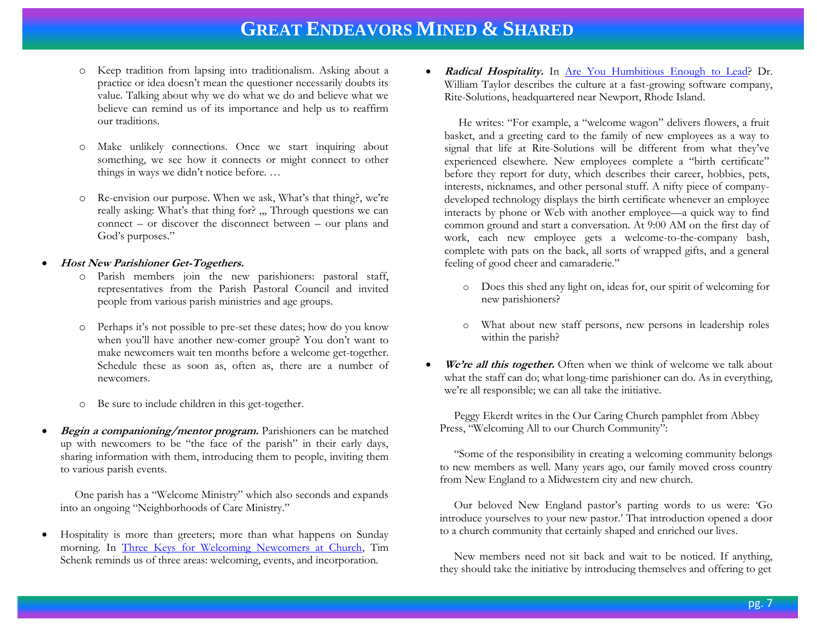- o Keep tradition from lapsing into traditionalism. Asking about a practice or idea doesn't mean the questioner necessarily doubts its value. Talking about why we do what we do and believe what we believe can remind us of its importance and help us to reaffirm our traditions.
- o Make unlikely connections. Once we start inquiring about something, we see how it connects or might connect to other things in ways we didn't notice before. …
- o Re-envision our purpose. When we ask, What's that thing?, we're really asking: What's that thing for? ,,, Through questions we can connect – or discover the disconnect between – our plans and God's purposes."

#### **Host New Parishioner Get-Togethers.**

- o Parish members join the new parishioners: pastoral staff, representatives from the Parish Pastoral Council and invited people from various parish ministries and age groups.
- o Perhaps it's not possible to pre-set these dates; how do you know when you'll have another new-comer group? You don't want to make newcomers wait ten months before a welcome get-together. Schedule these as soon as, often as, there are a number of newcomers.
- o Be sure to include children in this get-together.
- **Begin a companioning/mentor program.** Parishioners can be matched up with newcomers to be "the face of the parish" in their early days, sharing information with them, introducing them to people, inviting them to various parish events.

 One parish has a "Welcome Ministry" which also seconds and expands into an ongoing "Neighborhoods of Care Ministry."

 Hospitality is more than greeters; more than what happens on Sunday morning. In [Three Keys for Welcoming Newcomers at Church,](http://www.buildfaith.org/2014/07/02/three-keys-for-welcoming-newcomers-at-church/) Tim Schenk reminds us of three areas: welcoming, events, and incorporation.

Radical Hospitality. In <u>Are You Humbitious Enough to Lead</u>? Dr. William Taylor describes the culture at a fast-growing software company, Rite-Solutions, headquartered near Newport, Rhode Island.

 He writes: "For example, a "welcome wagon" delivers flowers, a fruit basket, and a greeting card to the family of new employees as a way to signal that life at Rite-Solutions will be different from what they've experienced elsewhere. New employees complete a "birth certificate" before they report for duty, which describes their career, hobbies, pets, interests, nicknames, and other personal stuff. A nifty piece of companydeveloped technology displays the birth certificate whenever an employee interacts by phone or Web with another employee—a quick way to find common ground and start a conversation. At 9:00 AM on the first day of work, each new employee gets a welcome-to-the-company bash, complete with pats on the back, all sorts of wrapped gifts, and a general feeling of good cheer and camaraderie."

- o Does this shed any light on, ideas for, our spirit of welcoming for new parishioners?
- o What about new staff persons, new persons in leadership roles within the parish?
- We're all this together. Often when we think of welcome we talk about what the staff can do; what long-time parishioner can do. As in everything, we're all responsible; we can all take the initiative.

 Peggy Ekerdt writes in the Our Caring Church pamphlet from Abbey Press, "Welcoming All to our Church Community":

 "Some of the responsibility in creating a welcoming community belongs to new members as well. Many years ago, our family moved cross country from New England to a Midwestern city and new church.

 Our beloved New England pastor's parting words to us were: 'Go introduce yourselves to your new pastor.' That introduction opened a door to a church community that certainly shaped and enriched our lives.

 New members need not sit back and wait to be noticed. If anything, they should take the initiative by introducing themselves and offering to get